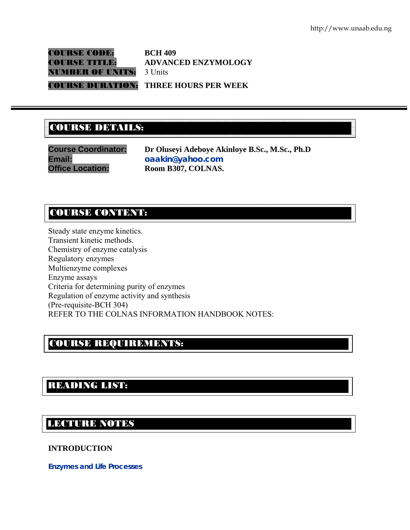COURSE CODE: **BCH 409 NUMBER OF UNITS: 3 Units** 

COURSE TITLE: **ADVANCED ENZYMOLOGY** 

COURSE DURATION: **THREE HOURS PER WEEK** 

## COURSE DETAILS: COURSE DETAILS:

**Course Coordinator: Dr Oluseyi Adeboye Akinloye B.Sc., M.Sc., Ph.D Email: oaakin@yahoo.com Office Location: Room B307, COLNAS.** 

## COURSE CONTENT:

Steady state enzyme kinetics. Transient kinetic methods. Chemistry of enzyme catalysis Regulatory enzymes Multienzyme complexes Enzyme assays Criteria for determining purity of enzymes Regulation of enzyme activity and synthesis (Pre-requisite-BCH 304) REFER TO THE COLNAS INFORMATION HANDBOOK NOTES:

## COURSE REQUIREMENTS:

# READING LIST:

## LECTURE NOTES

## **INTRODUCTION**

en<br>Eksterne

**Enzymes and Life Processes**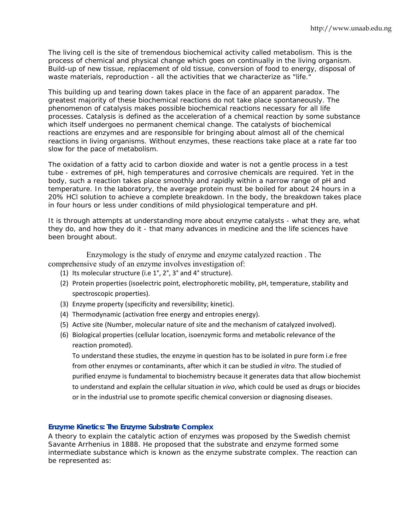The living cell is the site of tremendous biochemical activity called metabolism. This is the process of chemical and physical change which goes on continually in the living organism. Build-up of new tissue, replacement of old tissue, conversion of food to energy, disposal of waste materials, reproduction - all the activities that we characterize as "life."

This building up and tearing down takes place in the face of an apparent paradox. The greatest majority of these biochemical reactions do not take place spontaneously. The phenomenon of catalysis makes possible biochemical reactions necessary for all life processes. Catalysis is defined as the acceleration of a chemical reaction by some substance which itself undergoes no permanent chemical change. The catalysts of biochemical reactions are enzymes and are responsible for bringing about almost all of the chemical reactions in living organisms. Without enzymes, these reactions take place at a rate far too slow for the pace of metabolism.

The oxidation of a fatty acid to carbon dioxide and water is not a gentle process in a test tube - extremes of pH, high temperatures and corrosive chemicals are required. Yet in the body, such a reaction takes place smoothly and rapidly within a narrow range of pH and temperature. In the laboratory, the average protein must be boiled for about 24 hours in a 20% HCl solution to achieve a complete breakdown. In the body, the breakdown takes place in four hours or less under conditions of mild physiological temperature and pH.

It is through attempts at understanding more about enzyme catalysts - what they are, what they do, and how they do it - that many advances in medicine and the life sciences have been brought about.

Enzymology is the study of enzyme and enzyme catalyzed reaction . The comprehensive study of an enzyme involves investigation of:

- (1) Its molecular structure (i.e 1°, 2°, 3° and 4° structure).
- (2) Protein properties (isoelectric point, electrophoretic mobility, pH, temperature, stability and spectroscopic properties).
- (3) Enzyme property (specificity and reversibility; kinetic).
- (4) Thermodynamic (activation free energy and entropies energy).
- (5) Active site (Number, molecular nature of site and the mechanism of catalyzed involved).
- (6) Biological properties (cellular location, isoenzymic forms and metabolic relevance of the reaction promoted).

To understand these studies, the enzyme in question has to be isolated in pure form i.e free from other enzymes or contaminants, after which it can be studied *in vitro*. The studied of purified enzyme is fundamental to biochemistry because it generates data that allow biochemist to understand and explain the cellular situation *in vivo*, which could be used as drugs or biocides or in the industrial use to promote specific chemical conversion or diagnosing diseases.

## **Enzyme Kinetics: The Enzyme Substrate Complex**

A theory to explain the catalytic action of enzymes was proposed by the Swedish chemist Savante Arrhenius in 1888. He proposed that the substrate and enzyme formed some intermediate substance which is known as the enzyme substrate complex. The reaction can be represented as: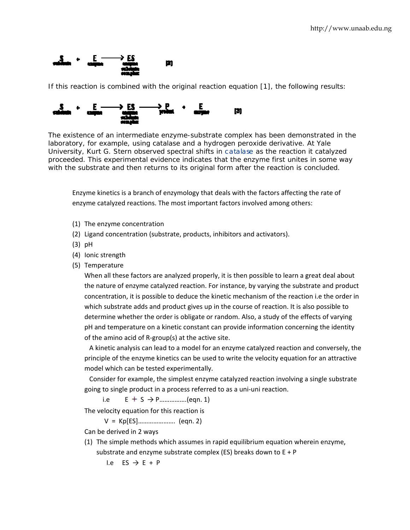

If this reaction is combined with the original reaction equation [1], the following results:



laboratory, for example, using catalase and a hydrogen peroxide derivative. At Yale University, Kurt G. Stern observed spectral shifts in catalase as the reaction it catalyzed University, Kurt G. Stern observed spectral shifts in catalase as the reaction it catalyzed<br>proceeded. This experimental evidence indicates that the enzyme first unites in some way with the substrate and then returns to its original form after the reaction is concluded.

Enzyme kinetics is a branch of enzymology that deals with the factors affecting the rate of enzyme catalyzed reactions. The most important factors involved among others:

- (1) The enzyme concentration
- (2) Ligand concentration (substrate, products, inhibitors and activators).
- (3 3) pH
- (4) Ionic strength
- (5) Temperature

When all these factors are analyzed properly, it is then possible to learn a great deal about the nature of enzyme catalyzed reaction. For instance, by varying the substrate and product concentration, it is possible to deduce the kinetic mechanism of the reaction i.e the order in which substrate adds and product gives up in the course of reaction. It is also possible to determine whether the order is obligate or random. Also, a study of the effects of varying pH and temperature on a kinetic constant can provide information concerning the identity of the ami no acid of R‐g group(s) at th he active site. w.unaab.edu.ng<br>i.<br>i.<br>ay<br>ay<br>w.unaab.edu.ng<br>diay<br>diay<br>diay<br>i.<br>i.<br>i.<br>ay, the<br>crive

A kinetic analysis can lead to a model for an enzyme catalyzed reaction and conversely, the principle of the enzyme kinetics can be used to write the velocity equation for an attractive model which can be tested experimentally.

Consider for example, the simplest enzyme catalyzed reaction involving a single substrate going to si ngle product in a process referred to a s a uni‐uni re action.

 i.e  $E + S \rightarrow P$ .................(eqn. 1)

The velocity equation for this reaction is

V = Kp[ES]...................... (eqn. 2)

Can be derived in 2 ways

(1) The simple methods which assumes in rapid equilibrium equation wherein enzyme, substrate and enzyme substrate complex (ES) breaks down to E + P

 $I.e E S \rightarrow E + P$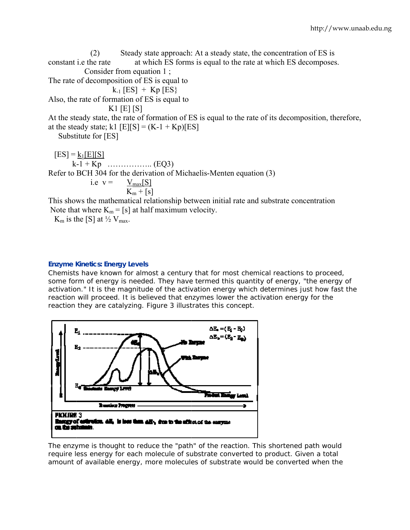constant i.e the rate The rate of decompo sition of ES is equal to Also, the rate of formation of ES is equal to At the steady state, the rate of formation of ES is equal to the rate of its decomposition, therefore, at the steady state;  $k1$  [E][S] =  $(K-1 + Kp)[ES]$ Substitute for [ES]  $[ES] = k_1[E][S]$  k -1 + Kp … ………….. (EQ3) Refer to BCH 304 for the derivation of Michaelis-Menten equation (3) This shows the mathematical relationship between initial rate and substrate concentration Note that where  $K_m = [s]$  at half maximum velocity. (2) Consider from equation 1;  $k_1$  [ES] + Kp [ES} K 1 [E] [S] i.e  $v =$ Steady state approach: At a steady state, the concentration of ES is at which ES forms is equal to the rate at which ES decomposes.  $V_{\text{max}}[S]$  $K_m^- + [s]$ 

 $K_m$  is the [S] at  $\frac{1}{2} V_{max}$ .

#### **Enzyme Kinetics: Energy Levels**

Chemists have known for almost a century that for most chemical reactions to proceed, some form of energy is needed. They have termed this quantity of energy, "the energy of activation." It is the magnitude of the activation energy which determines just how fast the reaction will proceed. It is believed that enzymes lower the activation energy for the reaction they are catalyzing. Figure 3 illustrates this concept.



The enzyme is thought to reduce the "path" of the reaction. This shortened path would require less energy for each molecule of substrate converted to product. Given a total amount of available energy, more molecules of substrate would be converted when the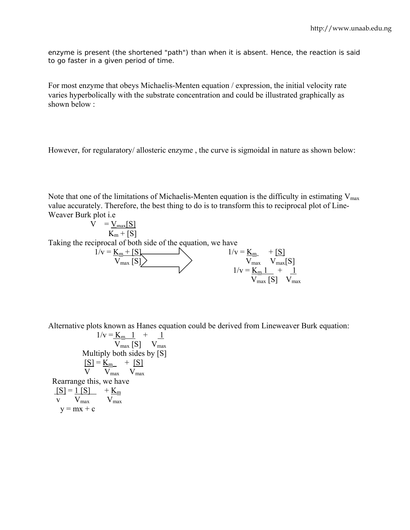enzyme is present (the shortened "path") than when it is absent. Hence, the reaction is said to go faster in a given period of time.

For most enzyme that obeys Michaelis-Menten equation / expression, the initial velocity rate varies hyperbolically with the substrate concentration and could be illustrated graphically as shown below :

However, for regularatory/ allosteric enzyme , the curve is sigmoidal in nature as shown below:

Note that one of the limitations of Michaelis-Menten equation is the difficulty in estimating  $V_{\text{max}}$ value accurately. Therefore, the best thing to do is to transform this to reciprocal plot of Line-Weaver Burk plot i.e

$$
V = V_{max}[S]
$$
  
\nTaking the reciprocal of both side of the equation, we have  
\n
$$
1/v = K_m + [S]
$$
\n
$$
V_{max}[S]
$$
\n
$$
1/v = K_m + [S]
$$
\n
$$
1/v = K_m + [S]
$$
\n
$$
V_{max}[S]
$$
\n
$$
1/v = K_m 1 + 1
$$
\n
$$
V_{max}[S]
$$
\n
$$
V_{max}[S]
$$
\n
$$
V_{max}[S]
$$

Alternative plots known as Hanes equation could be derived from Lineweaver Burk equation:

$$
1/v = \underline{K}_{m} 1 + \underline{1}
$$
  
\n
$$
V_{max} [S] \tV_{max}
$$
  
\nMultiply both sides by [S]  
\n
$$
[S] = \underline{K}_{m} + [S]
$$
  
\n
$$
V \tV_{max} \tV_{max}
$$
  
\nRearrange this, we have  
\n
$$
[S] = 1 [S] \t+ \underline{K}_{m}
$$
  
\n
$$
V \tV_{max} \tV_{max}
$$
  
\n
$$
V = mx + c
$$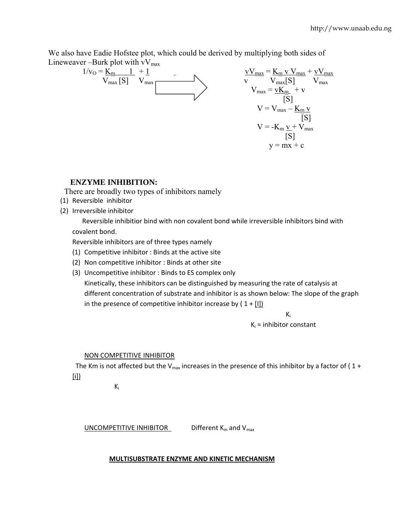We also have Eadie Hofstee plot, which could be derived by multiplying both sides of Lineweaver –Burk plot with  $vV_{max}$ 

$$
1/v_{O} = \underline{K_{m}} \underbrace{1}_{V_{max}} + \underbrace{1}_{V_{max}} - \underbrace{V_{max}}_{V_{max}} = \underline{K_{m} \vee V_{max}} + \underbrace{vV_{max}}_{V_{max}} + \underbrace{vV_{max}}_{V_{max}}}{V_{max}} = \underbrace{K_{m} \vee V_{max}}_{[S]} + \underbrace{vV_{max}}_{[S]} - \underbrace{V_{max}}_{[S]} - \underbrace{K_{m} \vee V_{max}}_{[S]} - \underbrace{K_{m} \vee V_{max}}_{[S]} - \underbrace{K_{m} \vee V_{max}}_{[S]} - \underbrace{K_{m} \vee V_{max}}_{[S]} - \underbrace{K_{m} \vee V_{max}}_{[S]} - \underbrace{K_{m} \vee V_{max}}_{[S]} - \underbrace{K_{m} \vee V_{max}}_{[S]} - \underbrace{K_{m} \vee V_{max}}_{[S]} - \underbrace{K_{m} \vee V_{max}}_{[S]} - \underbrace{K_{m} \vee V_{max}}_{[S]} - \underbrace{K_{m} \vee V_{max}}_{[S]} - \underbrace{K_{m} \vee V_{max}}_{[S]} - \underbrace{K_{m} \vee V_{max}}_{[S]} - \underbrace{K_{m} \vee V_{max}}_{[S]} - \underbrace{K_{m} \vee V_{max}}_{[S]} - \underbrace{K_{m} \vee V_{max}}_{[S]} - \underbrace{K_{m} \vee V_{max}}_{[S]} - \underbrace{K_{m} \vee V_{max}}_{[S]} - \underbrace{K_{m} \vee V_{max}}_{[S]} - \underbrace{K_{m} \vee V_{max}}_{[S]} - \underbrace{K_{m} \vee V_{max}}_{[S]} - \underbrace{K_{m} \vee V_{max}}_{[S]}
$$

## **ENZYME INHIBITION:**

There are broadly two types of inhibitors namely

- (1) Reversible inhibitor
- (2) Irreversible inhibitor

 Reversible inhibitior bind with non covalent bond while irreversible inhibitors bind with covalent bond.

Reversible inhibitors are of three types namely

- (1) Competitive inhibitor : Binds at the active site
- (2) Non competitive inhibitor : Binds at other site
- (3) Uncompetitive inhibitor : Binds to ES complex only

Kinetically, these inhibitors can be distinguished by measuring the rate of catalysis at different concentration of substrate and inhibitor is as shown below: The slope of the graph in the presence of competitive inhibitor increase by  $(1 + [I])$ 

 $K_i$  $K_i$  = inhibitor constant

## NON COMPETITIVE INHIBITOR

The Km is not affected but the V<sub>max</sub> increases in the presence of this inhibitor by a factor of (1+ [i])

 $K_i$ 

UNCOMPETITIVE INHIBITOR Different  $K_m$  and  $V_{max}$ 

## **MULTISUBSTRATE ENZYME AND KINETIC MECHANISM**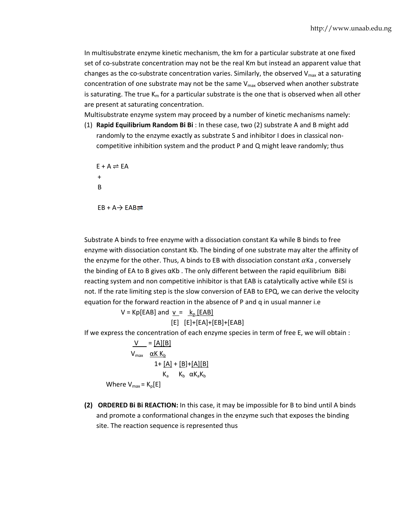In multisubstrate enzyme kinetic mechanism, the km for a particular substrate at one fixed set of co-substrate concentration may not be the real Km but instead an apparent value that changes as the co-substrate concentration varies. Similarly, the observed  $V_{max}$  at a saturating concentration of one substrate may not be the same  $V_{\text{max}}$  observed when another substrate is saturating. The true  $K_m$  for a particular substrate is the one that is observed when all other are present at saturating concentration.

Multisubstrate enzyme system may proceed by a number of kinetic mechanisms namely:

(1) **Rapid Equilibrium Random Bi Bi** : In these case, two (2) substrate A and B might add randomly to the enzyme exactly as substrate S and inhibitor I does in classical non‐ competitive inhibition system and the product P and Q might leave randomly; thus

 $E + A \rightleftharpoons EA$  + B  $EB + A \rightarrow EAB =$ 

Substrate A binds to free enzyme with a dissociation constant Ka while B binds to free enzyme with dissociation constant Kb. The binding of one substrate may alter the affinity of the enzyme for the other. Thus, A binds to EB with dissociation constant  $\alpha$ Ka, conversely the binding of EA to B gives  $\alpha$ Kb. The only different between the rapid equilibrium BiBi reacting system and non competitive inhibitor is that EAB is catalytically active while ESI is not. If the rate limiting step is the slow conversion of EAB to EPQ, we can derive the velocity equation for the forward reaction in the absence of P and q in usual manner i.e

> $V = Kp[EAB]$  and  $v = k_p[EAB]$ [E] [E]+[EA]+[EB]+[EAB]

If we express the concentration of each enzyme species in term of free E, we will obtain :

 $V = [A][B]$  $V_{\text{max}}$   $\alpha$ K K<sub>b</sub>  $1 + [A] + [B] + [A][B]$  $K_a$   $K_b$   $\alpha K_a K_b$ Where  $V_{\text{max}} = K_{p}[E]$ 

**(2) ORDERED Bi Bi REACTION:** In this case, it may be impossible for B to bind until A binds and promote a conformational changes in the enzyme such that exposes the binding site. The reaction sequence is represented thus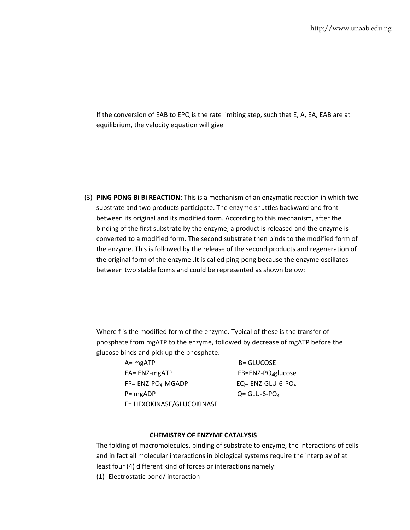If the conversion of EAB to EPQ is the rate limiting step, such that E, A, EA, EAB are at equilibrium, the velocity equation will give

(3) **PING PONG Bi Bi REACTION**: This is a mechanism of an enzymatic reaction in which two substrate and two products participate. The enzyme shuttles backward and front between its original and its modified form. According to this mechanism, after the binding of the first substrate by the enzyme, a product is released and the enzyme is converted to a modified form. The second substrate then binds to the modified form of the enzyme. This is followed by the release of the second products and regeneration of the original form of the enzyme .It is called ping‐pong because the enzyme oscillates between two stable forms and could be represented as shown below:

Where f is the modified form of the enzyme. Typical of these is the transfer of phosphate from mgATP to the enzyme, followed by decrease of mgATP before the glucose binds and pick up the phosphate.

| $A = mgATP$               | <b>B= GLUCOSE</b>             |
|---------------------------|-------------------------------|
| $EA = ENZ-mgATP$          | $FB=ENZ-PO4glucose$           |
| $FP = ENZ-POA-MGADP$      | EQ= ENZ-GLU-6-PO <sub>4</sub> |
| $P = mgADP$               | $Q = GLU - 6 - POA$           |
| E= HEXOKINASE/GLUCOKINASE |                               |

#### **CHEMISTRY OF ENZYME CATALYSIS**

The folding of macromolecules, binding of substrate to enzyme, the interactions of cells and in fact all molecular interactions in biological systems require the interplay of at least four (4) different kind of forces or interactions namely:

(1) Electrostatic bond/ interaction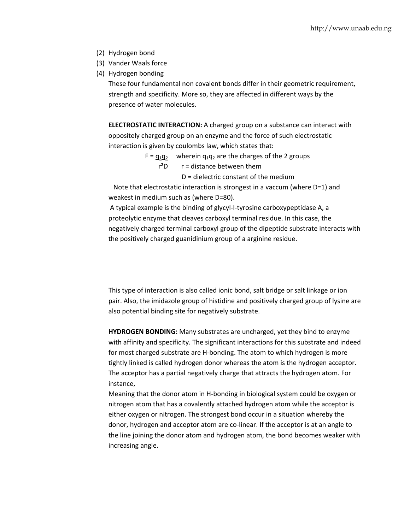- (2) Hydrogen bond
- (3) Vander Waals force
- (4) Hydrogen bonding

These four fundamental non covalent bonds differ in their geometric requirement, strength and specificity. More so, they are affected in different ways by the presence of water molecules.

**ELECTROSTATIC INTERACTION:** A charged group on a substance can interact with oppositely charged group on an enzyme and the force of such electrostatic interaction is given by coulombs law, which states that:

- $F = q_1q_2$  wherein  $q_1q_2$  are the charges of the 2 groups
	- $r^2D$   $r =$  distance between them
		- D = dielectric constant of the medium

 Note that electrostatic interaction is strongest in a vaccum (where D=1) and weakest in medium such as (where D=80).

A typical example is the binding of glycyl‐l‐tyrosine carboxypeptidase A, a proteolytic enzyme that cleaves carboxyl terminal residue. In this case, the negatively charged terminal carboxyl group of the dipeptide substrate interacts with the positively charged guanidinium group of a arginine residue.

This type of interaction is also called ionic bond, salt bridge or salt linkage or ion pair. Also, the imidazole group of histidine and positively charged group of lysine are also potential binding site for negatively substrate.

**HYDROGEN BONDING:** Many substrates are uncharged, yet they bind to enzyme with affinity and specificity. The significant interactions for this substrate and indeed for most charged substrate are H‐bonding. The atom to which hydrogen is more tightly linked is called hydrogen donor whereas the atom is the hydrogen acceptor. The acceptor has a partial negatively charge that attracts the hydrogen atom. For instance,

Meaning that the donor atom in H‐bonding in biological system could be oxygen or nitrogen atom that has a covalently attached hydrogen atom while the acceptor is either oxygen or nitrogen. The strongest bond occur in a situation whereby the donor, hydrogen and acceptor atom are co-linear. If the acceptor is at an angle to the line joining the donor atom and hydrogen atom, the bond becomes weaker with increasing angle.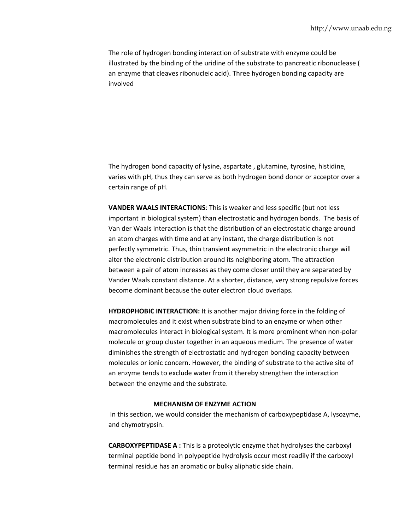The role of hydrogen bonding interaction of substrate with enzyme could be illustrated by the binding of the uridine of the substrate to pancreatic ribonuclease ( an enzyme that cleaves ribonucleic acid). Three hydrogen bonding capacity are involved

The hydrogen bond capacity of lysine, aspartate , glutamine, tyrosine, histidine, varies with pH, thus they can serve as both hydrogen bond donor or acceptor over a certain range of pH.

**VANDER WAALS INTERACTIONS**: This is weaker and less specific (but not less important in biological system) than electrostatic and hydrogen bonds. The basis of Van der Waals interaction is that the distribution of an electrostatic charge around an atom charges with time and at any instant, the charge distribution is not perfectly symmetric. Thus, thin transient asymmetric in the electronic charge will alter the electronic distribution around its neighboring atom. The attraction between a pair of atom increases as they come closer until they are separated by Vander Waals constant distance. At a shorter, distance, very strong repulsive forces become dominant because the outer electron cloud overlaps.

**HYDROPHOBIC INTERACTION:** It is another major driving force in the folding of macromolecules and it exist when substrate bind to an enzyme or when other macromolecules interact in biological system. It is more prominent when non‐polar molecule or group cluster together in an aqueous medium. The presence of water diminishes the strength of electrostatic and hydrogen bonding capacity between molecules or ionic concern. However, the binding of substrate to the active site of an enzyme tends to exclude water from it thereby strengthen the interaction between the enzyme and the substrate.

#### **MECHANISM OF ENZYME ACTION**

In this section, we would consider the mechanism of carboxypeptidase A, lysozyme, and chymotrypsin.

**CARBOXYPEPTIDASE A :** This is a proteolytic enzyme that hydrolyses the carboxyl terminal peptide bond in polypeptide hydrolysis occur most readily if the carboxyl terminal residue has an aromatic or bulky aliphatic side chain.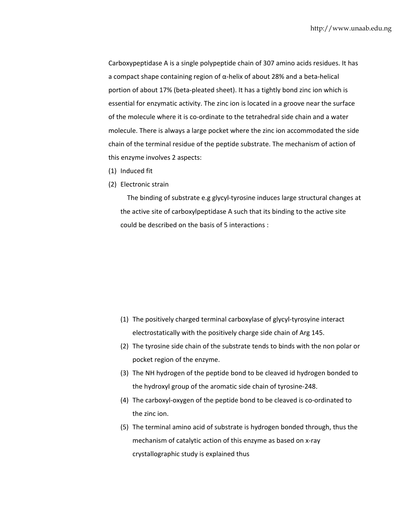Carboxypeptidase A is a single polypeptide chain of 307 amino acids residues. It has a compact shape containing region of α‐helix of about 28% and a beta‐helical portion of about 17% (beta‐pleated sheet). It has a tightly bond zinc ion which is essential for enzymatic activity. The zinc ion is located in a groove near the surface of the molecule where it is co‐ordinate to the tetrahedral side chain and a water molecule. There is always a large pocket where the zinc ion accommodated the side chain of the terminal residue of the peptide substrate. The mechanism of action of this enzyme involves 2 aspects:

- (1) Induced fit
- (2) Electronic strain

The binding of substrate e.g glycyl-tyrosine induces large structural changes at the active site of carboxylpeptidase A such that its binding to the active site could be described on the basis of 5 interactions :

- (1) The positively charged terminal carboxylase of glycyl‐tyrosyine interact electrostatically with the positively charge side chain of Arg 145.
- (2) The tyrosine side chain of the substrate tends to binds with the non polar or pocket region of the enzyme.
- (3) The NH hydrogen of the peptide bond to be cleaved id hydrogen bonded to the hydroxyl group of the aromatic side chain of tyrosine‐248.
- (4) The carboxyl‐oxygen of the peptide bond to be cleaved is co‐ordinated to the zinc ion.
- (5) The terminal amino acid of substrate is hydrogen bonded through, thus the mechanism of catalytic action of this enzyme as based on x‐ray crystallographic study is explained thus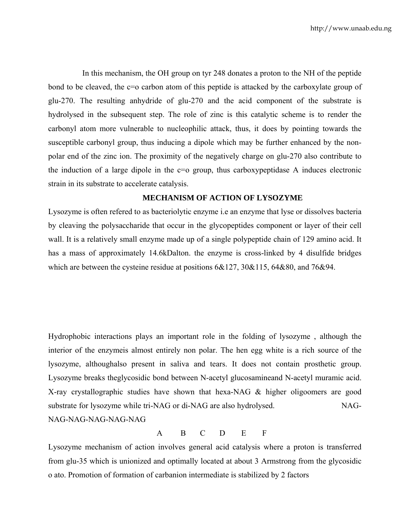In this mechanism, the OH group on tyr 248 donates a proton to the NH of the peptide bond to be cleaved, the c=o carbon atom of this peptide is attacked by the carboxylate group of glu-270. The resulting anhydride of glu-270 and the acid component of the substrate is hydrolysed in the subsequent step. The role of zinc is this catalytic scheme is to render the carbonyl atom more vulnerable to nucleophilic attack, thus, it does by pointing towards the susceptible carbonyl group, thus inducing a dipole which may be further enhanced by the nonpolar end of the zinc ion. The proximity of the negatively charge on glu-270 also contribute to the induction of a large dipole in the c=o group, thus carboxypeptidase A induces electronic strain in its substrate to accelerate catalysis.

## **MECHANISM OF ACTION OF LYSOZYME**

Lysozyme is often refered to as bacteriolytic enzyme i.e an enzyme that lyse or dissolves bacteria by cleaving the polysaccharide that occur in the glycopeptides component or layer of their cell wall. It is a relatively small enzyme made up of a single polypeptide chain of 129 amino acid. It has a mass of approximately 14.6kDalton. the enzyme is cross-linked by 4 disulfide bridges which are between the cysteine residue at positions  $6&127, 30&115, 64&80,$  and  $76&94$ .

Hydrophobic interactions plays an important role in the folding of lysozyme , although the interior of the enzymeis almost entirely non polar. The hen egg white is a rich source of the lysozyme, althoughalso present in saliva and tears. It does not contain prosthetic group. Lysozyme breaks theglycosidic bond between N-acetyl glucosamineand N-acetyl muramic acid. X-ray crystallographic studies have shown that hexa-NAG & higher oligoomers are good substrate for lysozyme while tri-NAG or di-NAG are also hydrolysed. NAG-NAG-NAG-NAG-NAG-NAG

## A B C D E F

Lysozyme mechanism of action involves general acid catalysis where a proton is transferred from glu-35 which is unionized and optimally located at about 3 Armstrong from the glycosidic o ato. Promotion of formation of carbanion intermediate is stabilized by 2 factors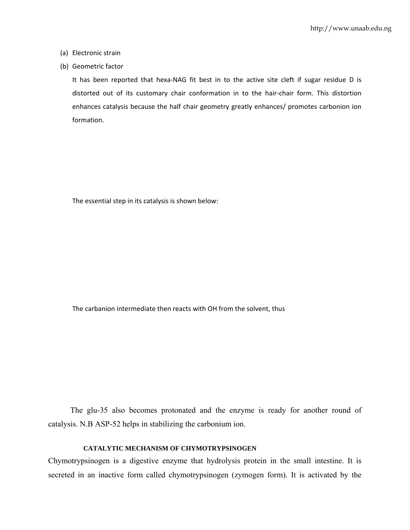- (a) Electronic strain
- (b) Geometric factor

It has been reported that hexa‐NAG fit best in to the active site cleft if sugar residue D is distorted out of its customary chair conformation in to the hair‐chair form. This distortion enhances catalysis because the half chair geometry greatly enhances/ promotes carbonion ion formation.

The essential step in its catalysis is shown below:

The carbanion intermediate then reacts with OH from the solvent, thus

 The glu-35 also becomes protonated and the enzyme is ready for another round of catalysis. N.B ASP-52 helps in stabilizing the carbonium ion.

#### **CATALYTIC MECHANISM OF CHYMOTRYPSINOGEN**

Chymotrypsinogen is a digestive enzyme that hydrolysis protein in the small intestine. It is secreted in an inactive form called chymotrypsinogen (zymogen form). It is activated by the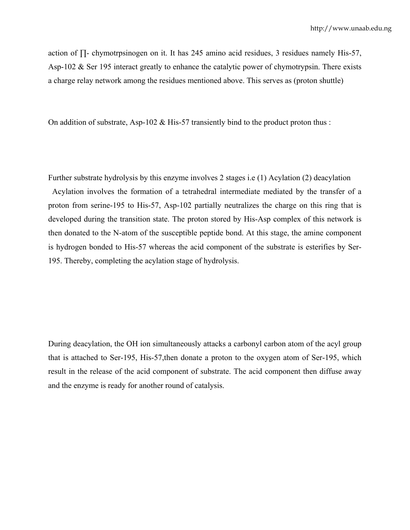action of ∏- chymotrpsinogen on it. It has 245 amino acid residues, 3 residues namely His-57, Asp-102 & Ser 195 interact greatly to enhance the catalytic power of chymotrypsin. There exists a charge relay network among the residues mentioned above. This serves as (proton shuttle)

On addition of substrate, Asp-102 & His-57 transiently bind to the product proton thus :

Further substrate hydrolysis by this enzyme involves 2 stages i.e (1) Acylation (2) deacylation

 Acylation involves the formation of a tetrahedral intermediate mediated by the transfer of a proton from serine-195 to His-57, Asp-102 partially neutralizes the charge on this ring that is developed during the transition state. The proton stored by His-Asp complex of this network is then donated to the N-atom of the susceptible peptide bond. At this stage, the amine component is hydrogen bonded to His-57 whereas the acid component of the substrate is esterifies by Ser-195. Thereby, completing the acylation stage of hydrolysis.

During deacylation, the OH ion simultaneously attacks a carbonyl carbon atom of the acyl group that is attached to Ser-195, His-57,then donate a proton to the oxygen atom of Ser-195, which result in the release of the acid component of substrate. The acid component then diffuse away and the enzyme is ready for another round of catalysis.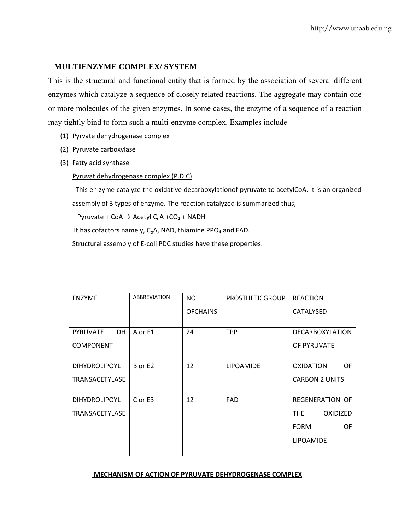### **MULTIENZYME COMPLEX/ SYSTEM**

This is the structural and functional entity that is formed by the association of several different enzymes which catalyze a sequence of closely related reactions. The aggregate may contain one or more molecules of the given enzymes. In some cases, the enzyme of a sequence of a reaction may tightly bind to form such a multi-enzyme complex. Examples include

- (1) Pyrvate dehydrogenase complex
- (2) Pyruvate carboxylase
- (3) Fatty acid synthase

Pyruvat dehydrogenase complex (P.D.C)

 This en zyme catalyze the oxidative decarboxylationof pyruvate to acetylCoA. It is an organized assembly of 3 types of enzyme. The reaction catalyzed is summarized thus,

Pyruvate + CoA  $\rightarrow$  Acetyl C<sub>o</sub>A +CO<sub>2</sub> + NADH

It has cofactors namely, C<sub>o</sub>A, NAD, thiamine PPO<sub>4</sub> and FAD.

Structural assembly of E‐coli PDC studies have these properties:

| <b>ENZYME</b>                | <b>ABBREVIATION</b> | NO.             | <b>PROSTHETICGROUP</b> | <b>REACTION</b>          |
|------------------------------|---------------------|-----------------|------------------------|--------------------------|
|                              |                     | <b>OFCHAINS</b> |                        | <b>CATALYSED</b>         |
|                              |                     |                 |                        |                          |
| <b>PYRUVATE</b><br><b>DH</b> | A or E1             | 24              | <b>TPP</b>             | <b>DECARBOXYLATION</b>   |
| <b>COMPONENT</b>             |                     |                 |                        | OF PYRUVATE              |
|                              |                     |                 |                        |                          |
| <b>DIHYDROLIPOYL</b>         | B or E2             | 12              | <b>LIPOAMIDE</b>       | <b>OF</b><br>OXIDATION   |
| TRANSACETYLASE               |                     |                 |                        | <b>CARBON 2 UNITS</b>    |
|                              |                     |                 |                        |                          |
| <b>DIHYDROLIPOYL</b>         | C or E3             | 12              | <b>FAD</b>             | REGENERATION OF          |
| TRANSACETYLASE               |                     |                 |                        | THE.<br><b>OXIDIZED</b>  |
|                              |                     |                 |                        | <b>FORM</b><br><b>OF</b> |
|                              |                     |                 |                        | <b>LIPOAMIDE</b>         |
|                              |                     |                 |                        |                          |

#### **MECHANISM OF ACTION OF PYRUVATE DEHYDROGENASE COMPLEX**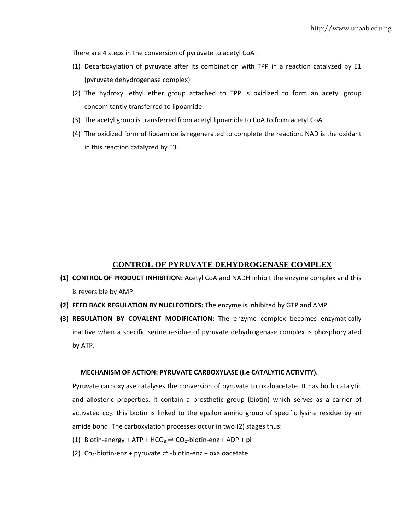There are 4 steps in the conversion of pyruvate to acetyl CoA .

- (1) Decarboxylation of pyruvate after its combination with TPP in a reaction catalyzed by E1 (pyruvate dehydrogenase complex)
- (2) The hydroxyl ethyl ether group attached to TPP is oxidized to form an acetyl group concomitantly transferred to lipoamide.
- (3) The acetyl group is transferred from acetyl lipoamide to CoA to form acetyl CoA.
- (4) The oxidized form of lipoamide is regenerated to complete the reaction. NAD is the oxidant in this reaction catalyzed by E3.

## **CONTROL OF PYRUVATE DEHYDROGENASE COMPLEX**

- **(1) CONTROL OF PRODUCT INHIBITION:** Acetyl CoA and NADH inhibit the enzyme complex and this is reversible by AMP.
- **(2) FEED BACK REGULATION BY NUCLEOTIDES:** The enzyme is inhibited by GTP and AMP.
- **(3) REGULATION BY COVALENT MODIFICATION:** The enzyme complex becomes enzymatically inactive when a specific serine residue of pyruvate dehydrogenase complex is phosphorylated by ATP.

#### **MECHANISM OF ACTION: PYRUVATE CARBOXYLASE (I.e CATALYTIC ACTIVITY).**

Pyruvate carboxylase catalyses the conversion of pyruvate to oxaloacetate. It has both catalytic and allosteric properties. It contain a prosthetic group (biotin) which serves as a carrier of activated co<sub>2</sub>, this biotin is linked to the epsilon amino group of specific lysine residue by an amide bond. The carboxylation processes occur in two (2) stages thus:

- (1) Biotin-energy + ATP + HCO<sub>3</sub>  $\rightleftharpoons$  CO<sub>2</sub>-biotin-enz + ADP + pi
- (2) Co<sub>2</sub>-biotin-enz + pyruvate  $\Rightarrow$  -biotin-enz + oxaloacetate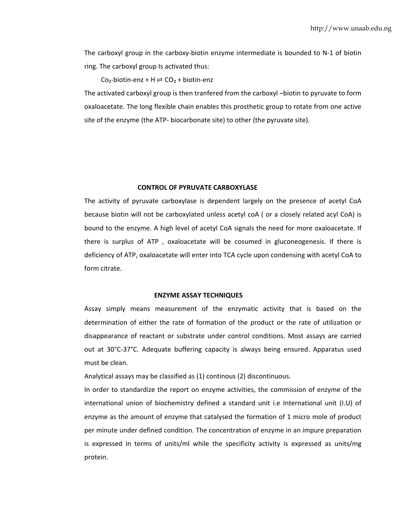The carboxyl group in the carboxy-biotin enzyme intermediate is bounded to N-1 of biotin ring. The carboxyl group Is activated thus:

Co<sub>2</sub>-biotin-enz + H  $\rightleftharpoons$  CO<sub>2</sub> + biotin-enz

The activated carboxyl group is then tranfered from the carboxyl –biotin to pyruvate to form oxaloacetate. The long flexible chain enables this prosthetic group to rotate from one active site of the enzyme (the ATP‐ biocarbonate site) to other (the pyruvate site).

#### **CONTROL OF PYRUVATE CARBOXYLASE**

The activity of pyruvate carboxylase is dependent largely on the presence of acetyl CoA because biotin will not be carboxylated unless acetyl coA ( or a closely related acyl CoA) is bound to the enzyme. A high level of acetyl CoA signals the need for more oxaloacetate. If there is surplus of ATP , oxaloacetate will be cosumed in gluconeogenesis. If there is deficiency of ATP, oxaloacetate will enter into TCA cycle upon condensing with acetyl CoA to form citrate.

#### **ENZYME ASSAY TECHNIQUES**

Assay simply means measurement of the enzymatic activity that is based on the determination of either the rate of formation of the product or the rate of utilization or disappearance of reactant or substrate under control conditions. Most assays are carried out at 30°C‐37°C. Adequate buffering capacity is always being ensured. Apparatus used must be clean.

Analytical assays may be classified as (1) continous (2) discontinuous.

In order to standardize the report on enzyme activities, the commission of enzyme of the international union of biochemistry defined a standard unit i.e International unit (I.U) of enzyme as the amount of enzyme that catalysed the formation of 1 micro mole of product per minute under defined condition. The concentration of enzyme in an impure preparation is expressed in terms of units/ml while the specificity activity is expressed as units/mg protein.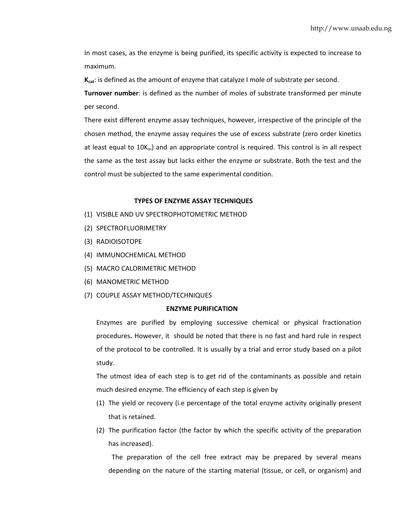In most cases, as the enzyme is being purified, its specific activity is expected to increase to maximum.

**Kcat**: is defined as the amount of enzyme that catalyze I mole of substrate per second.

**Turnover number**: is defined as the number of moles of substrate transformed per minute per second.

There exist different enzyme assay techniques, however, irrespective of the principle of the chosen method, the enzyme assay requires the use of excess substrate (zero order kinetics at least equal to  $10K_m$ ) and an appropriate control is required. This control is in all respect the same as the test assay but lacks either the enzyme or substrate. Both the test and the control must be subjected to the same experimental condition.

#### **TYPES OF ENZYME ASSAY TECHNIQUES**

- (1) VISIBLE AND UV SPECTROPHOTOMETRIC METHOD
- (2) SPECTROFLUORIMETRY
- (3) RADIOISOTOPE
- (4) IMMUNOCHEMICAL METHOD
- (5) MACRO CALORIMETRIC METHOD
- (6) MANOMETRIC METHOD
- (7) COUPLE ASSAY METHOD/TECHNIQUES

#### **ENZYME PURIFICATION**

Enzymes are purified by employing successive chemical or physical fractionation procedures**.** However, it should be noted that there is no fast and hard rule in respect of the protocol to be controlled. It is usually by a trial and error study based on a pilot study.

The utmost idea of each step is to get rid of the contaminants as possible and retain much desired enzyme. The efficiency of each step is given by

- (1) The yield or recovery (i.e percentage of the total enzyme activity originally present that is retained.
- (2) The purification factor (the factor by which the specific activity of the preparation has increased).

 The preparation of the cell free extract may be prepared by several means depending on the nature of the starting material (tissue, or cell, or organism) and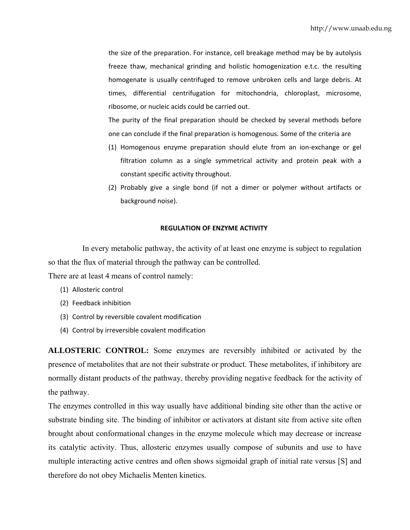the size of the preparation. For instance, cell breakage method may be by autolysis freeze thaw, mechanical grinding and holistic homogenization e.t.c. the resulting homogenate is usually centrifuged to remove unbroken cells and large debris. At times, differential centrifugation for mitochondria, chloroplast, microsome, ribosome, or nucleic acids could be carried out.

The purity of the final preparation should be checked by several methods before one can conclude if the final preparation is homogenous. Some of the criteria are

- (1) Homogenous enzyme preparation should elute from an ion‐exchange or gel filtration column as a single symmetrical activity and protein peak with a constant specific activity throughout.
- (2) Probably give a single bond (if not a dimer or polymer without artifacts or background noise).

#### **REGULATION OF ENZYME ACTIVITY**

In every metabolic pathway, the activity of at least one enzyme is subject to regulation so that the flux of material through the pathway can be controlled.

There are at least 4 means of control namely:

- (1) Allosteric control
- (2) Feedback inhibition
- (3) Control by reversible covalent modification
- (4) Control by irreversible covalent modification

**ALLOSTERIC CONTROL:** Some enzymes are reversibly inhibited or activated by the presence of metabolites that are not their substrate or product. These metabolites, if inhibitory are normally distant products of the pathway, thereby providing negative feedback for the activity of the pathway.

The enzymes controlled in this way usually have additional binding site other than the active or substrate binding site. The binding of inhibitor or activators at distant site from active site often brought about conformational changes in the enzyme molecule which may decrease or increase its catalytic activity. Thus, allosteric enzymes usually compose of subunits and use to have multiple interacting active centres and often shows sigmoidal graph of initial rate versus [S] and therefore do not obey Michaelis Menten kinetics.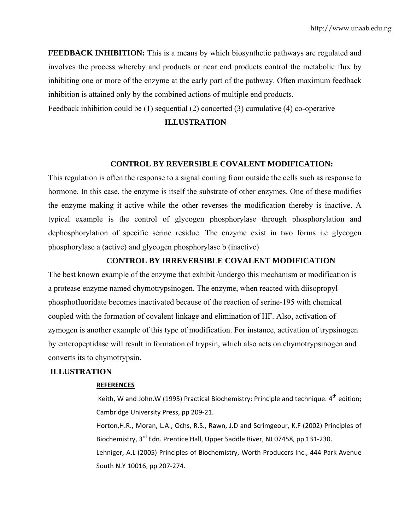**FEEDBACK INHIBITION:** This is a means by which biosynthetic pathways are regulated and involves the process whereby and products or near end products control the metabolic flux by inhibiting one or more of the enzyme at the early part of the pathway. Often maximum feedback inhibition is attained only by the combined actions of multiple end products.

Feedback inhibition could be (1) sequential (2) concerted (3) cumulative (4) co-operative

#### **ILLUSTRATION**

## **CONTROL BY REVERSIBLE COVALENT MODIFICATION:**

This regulation is often the response to a signal coming from outside the cells such as response to hormone. In this case, the enzyme is itself the substrate of other enzymes. One of these modifies the enzyme making it active while the other reverses the modification thereby is inactive. A typical example is the control of glycogen phosphorylase through phosphorylation and dephosphorylation of specific serine residue. The enzyme exist in two forms i.e glycogen phosphorylase a (active) and glycogen phosphorylase b (inactive)

#### **CONTROL BY IRREVERSIBLE COVALENT MODIFICATION**

The best known example of the enzyme that exhibit /undergo this mechanism or modification is a protease enzyme named chymotrypsinogen. The enzyme, when reacted with diisopropyl phosphofluoridate becomes inactivated because of the reaction of serine-195 with chemical coupled with the formation of covalent linkage and elimination of HF. Also, activation of zymogen is another example of this type of modification. For instance, activation of trypsinogen by enteropeptidase will result in formation of trypsin, which also acts on chymotrypsinogen and converts its to chymotrypsin.

### **ILLUSTRATION**

#### **REFERENCES**

Keith, W and John.W (1995) Practical Biochemistry: Principle and technique.  $4^{th}$  edition; Cambridge University Press, pp 209‐21.

Horton,H.R., Moran, L.A., Ochs, R.S., Rawn, J.D and Scrimgeour, K.F (2002) Principles of Biochemistry, 3<sup>rd</sup> Edn. Prentice Hall, Upper Saddle River, NJ 07458, pp 131-230. Lehniger, A.L (2005) Principles of Biochemistry, Worth Producers Inc., 444 Park Avenue South N.Y 10016, pp 207‐274.